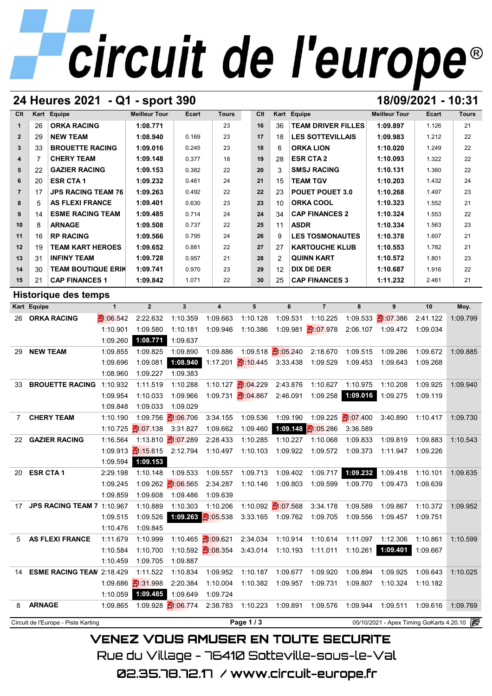## circuit de l'europe®

### **24 Heures 2021 - Q1 - sport 390 18/09/2021 - 10:31**

| Clt            |    | Kart Equipe               | <b>Meilleur Tour</b> | <b>Ecart</b> | <b>Tours</b> | Clt | Kart | Equipe                    | <b>Meilleur Tour</b> | Ecart | <b>Tours</b> |
|----------------|----|---------------------------|----------------------|--------------|--------------|-----|------|---------------------------|----------------------|-------|--------------|
|                | 26 | <b>ORKA RACING</b>        | 1:08.771             |              | 23           | 16  | 36   | <b>TEAM DRIVER FILLES</b> | 1:09.897             | 1.126 | 21           |
| $\overline{2}$ | 29 | <b>NEW TEAM</b>           | 1:08.940             | 0.169        | 23           | 17  | 18   | <b>LES SOTTEVILLAIS</b>   | 1:09.983             | 1.212 | 22           |
| 3 <sup>1</sup> | 33 | <b>BROUETTE RACING</b>    | 1:09.016             | 0.245        | 23           | 18  | 6    | <b>ORKA LION</b>          | 1:10.020             | 1.249 | 22           |
| 4              |    | <b>CHERY TEAM</b>         | 1:09.148             | 0.377        | 18           | 19  | 28   | <b>ESR CTA 2</b>          | 1:10.093             | 1.322 | 22           |
| 5              | 22 | <b>GAZIER RACING</b>      | 1:09.153             | 0.382        | 22           | 20  | 3    | <b>SMSJ RACING</b>        | 1:10.131             | 1.360 | 22           |
| 6              | 20 | <b>ESR CTA1</b>           | 1:09.232             | 0.461        | 24           | 21  | 15   | <b>TEAM TGV</b>           | 1:10.203             | 1.432 | 24           |
| $\overline{7}$ | 17 | <b>JPS RACING TEAM 76</b> | 1:09.263             | 0.492        | 22           | 22  | 23   | <b>POUET POUET 3.0</b>    | 1:10.268             | 1.497 | 23           |
| 8              | 5  | <b>AS FLEXI FRANCE</b>    | 1:09.401             | 0.630        | 23           | 23  | 10   | <b>ORKA COOL</b>          | 1:10.323             | 1.552 | 21           |
| 9              | 14 | <b>ESME RACING TEAM</b>   | 1:09.485             | 0.714        | 24           | 24  | 34   | <b>CAP FINANCES 2</b>     | 1:10.324             | 1.553 | 22           |
| 10             | 8  | <b>ARNAGE</b>             | 1:09.508             | 0.737        | 22           | 25  | 11   | <b>ASDR</b>               | 1:10.334             | 1.563 | 23           |
| 11             | 16 | <b>RP RACING</b>          | 1:09.566             | 0.795        | 24           | 26  | 9    | <b>LES TOSMONAUTES</b>    | 1:10.378             | 1.607 | 21           |
| 12             | 19 | <b>TEAM KART HEROES</b>   | 1:09.652             | 0.881        | 22           | 27  | 27   | <b>KARTOUCHE KLUB</b>     | 1:10.553             | 1.782 | 21           |
| 13             | 31 | <b>INFINY TEAM</b>        | 1:09.728             | 0.957        | 21           | 28  | 2    | <b>QUINN KART</b>         | 1:10.572             | 1.801 | 23           |
| 14             | 30 | <b>TEAM BOUTIQUE ERIK</b> | 1:09.741             | 0.970        | 23           | 29  | 12   | <b>DIX DE DER</b>         | 1:10.687             | 1.916 | 22           |
| 15             | 21 | <b>CAP FINANCES 1</b>     | 1:09.842             | 1.071        | 22           | 30  | 25   | <b>CAP FINANCES 3</b>     | 1:11.232             | 2.461 | 21           |

### **Historique des temps**

| 15          | 21                          | <b>CAP FINANCES 1</b>               |                 | 1:09.842                        | 1.071                           | 22                      | 30                                | 25                             | <b>CAP FINANCES 3</b>    |                                  | 1:11.232                                   | 2.461    | 21       |
|-------------|-----------------------------|-------------------------------------|-----------------|---------------------------------|---------------------------------|-------------------------|-----------------------------------|--------------------------------|--------------------------|----------------------------------|--------------------------------------------|----------|----------|
|             | <b>Historique des temps</b> |                                     |                 |                                 |                                 |                         |                                   |                                |                          |                                  |                                            |          |          |
|             | Kart Equipe                 |                                     | $\mathbf{1}$    | $\overline{2}$                  | $\overline{\mathbf{3}}$         | $\overline{\mathbf{4}}$ | 5                                 | 6                              | $\overline{7}$           | 8                                | 9                                          | 10       | Moy.     |
|             |                             | 26 ORKA RACING                      | $\leq 1.06.542$ | 2:22.632                        | 1:10.359                        | 1:09.663                | 1:10.128                          | 1:09.531                       | 1:10.225                 |                                  | 1:09.533 $\frac{2}{10}$ :07.386            | 2:41.122 | 1:09.799 |
|             |                             |                                     | 1:10.901        | 1:09.580                        | 1:10.181                        | 1:09.946                | 1:10.386                          |                                | 1:09.981 1:07.978        |                                  | 2:06.107 1:09.472 1:09.034                 |          |          |
|             |                             |                                     | 1:09.260        | 1:08.771                        | 1:09.637                        |                         |                                   |                                |                          |                                  |                                            |          |          |
| 29          |                             | <b>NEW TEAM</b>                     | 1:09.855        | 1:09.825                        | 1:09.890                        | 1:09.886                |                                   | 1:09.518 $\frac{21:05.240}{5}$ | 2:18.670                 | 1:09.515                         | 1:09.286                                   | 1:09.672 | 1:09.885 |
|             |                             |                                     | 1:09.696        | 1:09.081                        | 1:08.940                        |                         | 1:17.201 $\leq$ 1:10.445 3:33.438 |                                | 1:09.529                 | 1:09.453                         | 1:09.643                                   | 1:09.268 |          |
|             |                             |                                     | 1:08.960        | 1:09.227                        | 1:09.383                        |                         |                                   |                                |                          |                                  |                                            |          |          |
| 33          |                             | <b>BROUETTE RACING</b>              | 1:10.932        | 1:11.519                        | 1:10.288                        |                         | 1:10.127 1:04.229                 | 2:43.876                       | 1:10.627                 | 1:10.975                         | 1:10.208                                   | 1:09.925 | 1:09.940 |
|             |                             |                                     | 1:09.954        | 1:10.033                        | 1:09.966                        |                         | 1:09.731 1:04.867 2:46.091        |                                | 1:09.258                 | 1:09.016                         | 1:09.275                                   | 1:09.119 |          |
|             |                             |                                     | 1:09.848        | 1:09.033                        | 1:09.029                        |                         |                                   |                                |                          |                                  |                                            |          |          |
| $7^{\circ}$ |                             | <b>CHERY TEAM</b>                   | 1:10.190        |                                 | 1:09.756 1:06.706               | 3:34.155                | 1:09.536                          | 1:09.190                       |                          | 1:09.225 $\frac{25}{10}$ :07.400 | 3:40.890                                   | 1:10.417 | 1:09.730 |
|             |                             |                                     | 1:10.725        | $\frac{2}{3}$ 1:07.138 3:31.827 |                                 | 1:09.662                | 1:09.460                          |                                | 1:09.148 $\leq$ 1:05.286 | 3:36.589                         |                                            |          |          |
|             |                             | 22 GAZIER RACING                    | 1:16.564        |                                 | 1:13.810 1:07.289               | 2:28.433                | 1:10.285                          | 1:10.227                       | 1:10.068                 | 1:09.833                         | 1:09.819                                   | 1:09.883 | 1:10.543 |
|             |                             |                                     |                 | 1:09.913 1:15.615 2:12.794      |                                 | 1:10.497                | 1:10.103                          | 1:09.922                       | 1:09.572                 | 1:09.373                         | 1:11.947                                   | 1:09.226 |          |
|             |                             |                                     | 1:09.594        | 1:09.153                        |                                 |                         |                                   |                                |                          |                                  |                                            |          |          |
| 20          | <b>ESR CTA1</b>             |                                     | 2:29.198        | 1:10.148                        | 1:09.533                        | 1:09.557                | 1:09.713                          | 1:09.402                       | 1:09.717                 | 1:09.232                         | 1:09.418                                   | 1:10.101 | 1:09.635 |
|             |                             |                                     | 1:09.245        |                                 | 1:09.262 $\frac{2}{10}$ :06.565 | 2:34.287                | 1:10.146                          | 1:09.803                       | 1:09.599                 | 1:09.770                         | 1:09.473                                   | 1:09.639 |          |
|             |                             |                                     | 1:09.859        | 1:09.608                        | 1:09.486                        | 1:09.639                |                                   |                                |                          |                                  |                                            |          |          |
| 17          |                             | <b>JPS RACING TEAM 7 1:10.967</b>   |                 | 1:10.889                        | 1:10.303                        | 1:10.206                |                                   | 1:10.092 1:07.568              | 3:34.178                 | 1:09.589                         | 1:09.867                                   | 1:10.372 | 1:09.952 |
|             |                             |                                     | 1:09.515        | 1:09.526                        | 1:09.263 $\frac{2}{10}$ 05.538  |                         |                                   | 3:33.165 1:09.762              | 1:09.705                 | 1:09.556                         | 1:09.457                                   | 1:09.751 |          |
|             |                             |                                     | 1:10.476        | 1:09.845                        |                                 |                         |                                   |                                |                          |                                  |                                            |          |          |
| 5           |                             | <b>AS FLEXI FRANCE</b>              | 1:11.679        | 1:10.999                        |                                 | 1:10.465 1:09.621       | 2:34.034                          | 1:10.914                       | 1:10.614                 | 1:11.097                         | 1:12.306                                   | 1:10.861 | 1:10.599 |
|             |                             |                                     | 1:10.584        | 1:10.700                        |                                 | 1:10.592 1:08.354       | 3:43.014                          | 1:10.193                       | 1:11.011                 | 1:10.261                         | 1:09.401                                   | 1:09.667 |          |
|             |                             |                                     | 1:10.459        | 1:09.705                        | 1:09.887                        |                         |                                   |                                |                          |                                  |                                            |          |          |
|             |                             | 14 ESME RACING TEAN 2:18.429        |                 | 1:11.522                        | 1:10.834                        | 1:09.952                | 1:10.187                          | 1:09.677                       | 1:09.920                 | 1:09.894                         | 1:09.925                                   | 1:09.643 | 1:10.025 |
|             |                             |                                     | 1:09.686        | $\frac{2}{1}$ :31.998           | 2:20.384                        | 1:10.004                | 1:10.382                          | 1:09.957                       | 1:09.731                 | 1:09.807                         | 1:10.324                                   | 1:10.182 |          |
|             |                             |                                     | 1:10.059        | 1:09.485                        | 1:09.649                        | 1:09.724                |                                   |                                |                          |                                  |                                            |          |          |
| 8           | <b>ARNAGE</b>               |                                     | 1:09.865        |                                 | 1:09.928 1:06.774               | 2:38.783                | 1:10.223                          | 1:09.891                       | 1:09.576                 | 1:09.944                         | 1:09.511                                   | 1:09.616 | 1:09.769 |
|             |                             | Circuit de l'Europe - Piste Karting |                 |                                 |                                 |                         | Page 1/3                          |                                |                          |                                  | 05/10/2021 - Apex Timing GoKarts 4.20.10 2 |          |          |

**VENEZ VOUS AMUSER EN TOUTE SECURITE** Rue du Village – 76410 Sotteville-sous-le-Val

02.35.78.72.17 / www.circuit-europe.fr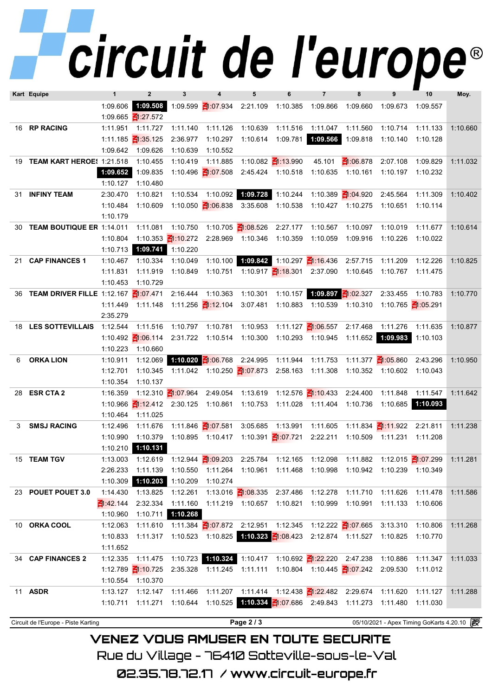## *circuit de l'europe®*

|                                                   | Kart Equipe                   | $\mathbf{1}$         | $\overline{2}$                    | $\mathbf{3}$      | 4                                                   | 5                          | 6                               | $\overline{7}$                                                                   | 8                              | 9                               | 10                                         | Moy.     |
|---------------------------------------------------|-------------------------------|----------------------|-----------------------------------|-------------------|-----------------------------------------------------|----------------------------|---------------------------------|----------------------------------------------------------------------------------|--------------------------------|---------------------------------|--------------------------------------------|----------|
|                                                   |                               | 1:09.606<br>1:09.665 | $\frac{21:27.572}{5}$             |                   | 1:09.508 1:09.599 $\leq$ 1:07.934 2:21.109          |                            |                                 | 1:10.385 1:09.866                                                                | 1:09.660                       | 1:09.673                        | 1:09.557                                   |          |
|                                                   | 16 RP RACING                  | 1:11.951             | 1:11.727                          | 1:11.140          | 1:11.126                                            | 1:10.639                   | 1:11.516                        | 1:11.047                                                                         | 1:11.560                       | 1:10.714                        | 1:11.133                                   | 1:10.660 |
|                                                   |                               | 1:11.185             | $\frac{2}{3}$ :35.125             | 2:36.977          | 1:10.297                                            | 1:10.614                   | 1:09.781                        | 1:09.566                                                                         | 1:09.818                       | 1:10.140                        | 1:10.128                                   |          |
|                                                   |                               | 1:09.642             | 1:09.626                          | 1:10.639          | 1:10.552                                            |                            |                                 |                                                                                  |                                |                                 |                                            |          |
|                                                   | 19 TEAM KART HEROE! 1:21.518  |                      | 1:10.455                          | 1:10.419          | 1:11.885                                            |                            | 1:10.082 $\frac{2}{11}$ :13.990 | 45.101                                                                           | $\frac{2}{10}$ :06.878         | 2:07.108                        | 1:09.829                                   | 1:11.032 |
|                                                   |                               | 1:09.652             | 1:09.835                          |                   | 1:10.496 $\frac{21}{107.508}$                       |                            | 2:45.424 1:10.518               |                                                                                  | 1:10.635 1:10.161              | 1:10.197                        | 1:10.232                                   |          |
|                                                   |                               | 1:10.127             | 1:10.480                          |                   |                                                     |                            |                                 |                                                                                  |                                |                                 |                                            |          |
|                                                   | 31 INFINY TEAM                | 2:30.470             | 1:10.821                          | 1:10.534          |                                                     | 1:10.092 1:09.728 1:10.244 |                                 |                                                                                  | 1:10.389 $\frac{21:04.920}{5}$ | 2:45.564                        | 1:11.309                                   | 1:10.402 |
|                                                   |                               | 1:10.484             | 1:10.609                          |                   | 1:10.050 $\frac{21:06.838}{5}$                      |                            |                                 | 3:35.608  1:10.538  1:10.427  1:10.275  1:10.651  1:10.114                       |                                |                                 |                                            |          |
|                                                   |                               | 1:10.179             |                                   |                   |                                                     |                            |                                 |                                                                                  |                                |                                 |                                            |          |
|                                                   | 30 TEAM BOUTIQUE ER 1:14.011  |                      | 1:11.081                          |                   | 1:10.750  1:10.705  1:08.526  2:27.177              |                            |                                 | 1:10.567                                                                         | 1:10.097                       | 1:10.019                        | 1:11.677                                   | 1:10.614 |
|                                                   |                               | 1:10.804             |                                   |                   | 1:10.353 1:10.272 2:28.969 1:10.346 1:10.359        |                            |                                 | 1:10.059                                                                         | 1:09.916                       | 1:10.226                        | 1:10.022                                   |          |
|                                                   |                               | 1:10.713             |                                   | 1:09.741 1:10.220 |                                                     |                            |                                 |                                                                                  |                                |                                 |                                            |          |
| 21                                                | <b>CAP FINANCES 1</b>         | 1:10.467             | 1:10.334                          | 1:10.049          |                                                     |                            |                                 | 1:10.100 1:09.842 1:10.297 1:16.436 2:57.715                                     |                                | 1:11.209                        | 1:12.226                                   | 1:10.825 |
|                                                   |                               | 1:11.831             | 1:11.919                          | 1:10.849          |                                                     |                            |                                 | 1:10.751  1:10.917 $\frac{21:18.301}{}$ 2:37.090  1:10.645                       |                                | 1:10.767 1:11.475               |                                            |          |
|                                                   |                               | 1:10.453             | 1:10.729                          |                   |                                                     |                            |                                 |                                                                                  |                                |                                 |                                            |          |
|                                                   | 36 TEAM DRIVER FILLE 1:12.167 |                      | $\leq 1.07.471$                   | 2:16.444          | 1:10.363                                            | 1:10.301                   |                                 | 1:10.157 1:09.897 1:02.327                                                       |                                | 2:33.455                        | 1:10.783                                   | 1:10.770 |
|                                                   |                               | 1:11.449             | 1:11.148                          |                   | 1:11.256 1:12.104                                   | 3:07.481                   |                                 | 1:10.883 1:10.539                                                                | 1:10.310                       |                                 | 1:10.765 1:05.291                          |          |
|                                                   |                               | 2:35.279             |                                   |                   |                                                     |                            |                                 |                                                                                  |                                |                                 |                                            |          |
|                                                   | 18 LES SOTTEVILLAIS           | 1:12.544             | 1:11.516                          | 1:10.797          | 1:10.781                                            | 1:10.953                   |                                 | 1:11.127 <b>₹</b> 1:06.557                                                       | 2:17.468                       | 1:11.276                        | 1:11.635                                   | 1:10.877 |
|                                                   |                               | 1:10.492             | $\leq 1.06.114$                   |                   | 2:31.722 1:10.514                                   |                            |                                 | 1:10.300 1:10.293 1:10.945                                                       |                                | 1:11.652 1:09.983               | 1:10.103                                   |          |
|                                                   |                               | 1:10.223             | 1:10.660                          |                   |                                                     |                            |                                 |                                                                                  |                                |                                 |                                            |          |
| 6                                                 | <b>ORKA LION</b>              | 1:10.911             | 1:12.069                          |                   | 1:10.020 $\frac{2}{100}$ 06.768                     |                            | 2:24.995 1:11.944               | 1:11.753                                                                         |                                | 1:11.377 $\frac{2}{10}$ :05.860 | 2:43.296                                   | 1:10.950 |
|                                                   |                               | 1:12.701             | 1:10.345                          |                   |                                                     |                            |                                 | 1:11.042  1:10.250 $\frac{21}{107.873}$ 2:58.163  1:11.308                       |                                | 1:10.352 1:10.602 1:10.043      |                                            |          |
|                                                   | 28 ESR CTA 2                  | 1:10.354<br>1:16.359 | 1:10.137                          |                   | 1:12.310 1:07.964 2:49.054                          |                            |                                 | 1:12.576 $\frac{21:10.433}{2:24.400}$                                            |                                | 1:11.848                        |                                            |          |
|                                                   |                               | 1:10.966             | $\leq$ 1:12.412 2:30.125 1:10.861 |                   |                                                     | 1:13.619                   |                                 | 1:10.753  1:11.028  1:11.404  1:10.736                                           |                                | 1:10.685                        | 1:11.547<br>1:10.093                       | 1:11.642 |
|                                                   |                               | 1:10.464             | 1:11.025                          |                   |                                                     |                            |                                 |                                                                                  |                                |                                 |                                            |          |
| 3                                                 | <b>SMSJ RACING</b>            | 1:12.496             | 1:11.676                          |                   | 1:11.846 <b>₹</b> 1:07.581                          |                            | 3:05.685 1:13.991               | 1:11.605                                                                         |                                | 1:11.834 1:11.922 2:21.811      |                                            | 1:11.238 |
|                                                   |                               | 1:10.990             | 1:10.379                          |                   | 1:10.895  1:10.417  1:10.391 <mark>-1:07.721</mark> |                            |                                 | 2:22.211                                                                         |                                | 1:10.509  1:11.231  1:11.208    |                                            |          |
|                                                   |                               | 1:10.210             | 1:10.131                          |                   |                                                     |                            |                                 |                                                                                  |                                |                                 |                                            |          |
|                                                   | 15 TEAM TGV                   | 1:13.003             |                                   |                   |                                                     |                            |                                 | 1:12.619 1:12.944 1:09.203 2:25.784 1:12.165 1:12.098 1:11.882 1:12.015 1:07.299 |                                |                                 |                                            | 1:11.281 |
|                                                   |                               | 2:26.233             |                                   |                   |                                                     |                            |                                 | 1:11.139 1:10.550 1:11.264 1:10.961 1:11.468 1:10.998 1:10.942 1:10.239 1:10.349 |                                |                                 |                                            |          |
|                                                   |                               | 1:10.309             |                                   | 1:10.203 1:10.209 | 1:10.274                                            |                            |                                 |                                                                                  |                                |                                 |                                            |          |
|                                                   | 23 POUET POUET 3.0            | 1:14.430             | 1:13.825                          | 1:12.261          |                                                     |                            |                                 | 1:13.016 1:08.335 2:37.486 1:12.278 1:11.710 1:11.626                            |                                |                                 | 1:11.478                                   | 1:11.586 |
|                                                   |                               | $\frac{2}{3}$ 42.144 | 2:32.334                          |                   |                                                     |                            |                                 | 1:11.160  1:11.219  1:10.657  1:10.821  1:10.999                                 | 1:10.991                       | 1:11.133                        | 1:10.606                                   |          |
|                                                   |                               | 1:10.960             |                                   | 1:10.711 1:10.268 |                                                     |                            |                                 |                                                                                  |                                |                                 |                                            |          |
|                                                   | 10 ORKA COOL                  | 1:12.063             |                                   |                   |                                                     |                            |                                 | 1:11.610 1:11.384 1:07.872 2:12.951 1:12.345 1:12.222 1:07.665 3:13.310 1:10.806 |                                |                                 |                                            | 1:11.268 |
|                                                   |                               | 1:10.833             |                                   |                   |                                                     |                            |                                 | 1:11.317 1:10.523 1:10.825 1:10.323 1:08.423 2:12.874 1:11.527 1:10.825 1:10.770 |                                |                                 |                                            |          |
|                                                   |                               | 1:11.652             |                                   |                   |                                                     |                            |                                 |                                                                                  |                                |                                 |                                            |          |
|                                                   | 34 CAP FINANCES 2             | 1:12.335             | 1:11.475                          |                   |                                                     |                            |                                 | 1:10.723 1:10.324 1:10.417 1:10.692 1:22.220 2:47.238                            |                                | 1:10.886                        | 1:11.347                                   | 1:11.033 |
|                                                   |                               |                      |                                   |                   |                                                     |                            |                                 | 1:12.789 3:10.725 2:35.328 1:11.245 1:11.111 1:10.804 1:10.445 3:07.242 2:09.530 |                                |                                 | 1:11.012                                   |          |
|                                                   |                               | 1:10.554             | 1:10.370                          |                   |                                                     |                            |                                 |                                                                                  |                                |                                 |                                            |          |
|                                                   | 11 ASDR                       | 1:13.127             |                                   |                   |                                                     |                            |                                 | 1:12.147 1:11.466 1:11.207 1:11.414 1:12.438 1:22.482 2:29.674 1:11.620          |                                |                                 | 1:11.127                                   | 1:11.288 |
|                                                   |                               | 1:10.711             |                                   |                   |                                                     |                            |                                 | 1:11.271 1:10.644 1:10.525 1:10.334 1:07.686 2:49.843 1:11.273 1:11.480          |                                |                                 | 1:11.030                                   |          |
|                                                   |                               |                      |                                   |                   |                                                     |                            |                                 |                                                                                  |                                |                                 |                                            |          |
| Page 2 / 3<br>Circuit de l'Europe - Piste Karting |                               |                      |                                   |                   |                                                     |                            |                                 |                                                                                  |                                |                                 | 05/10/2021 - Apex Timing GoKarts 4.20.10 2 |          |

**VENEZ VOUS AMUSER EN TOUTE SECURITE** Rue du Village – 76410 Sotteville-sous-le-Val

02.35.78.72.17 / www.circuit-europe.fr